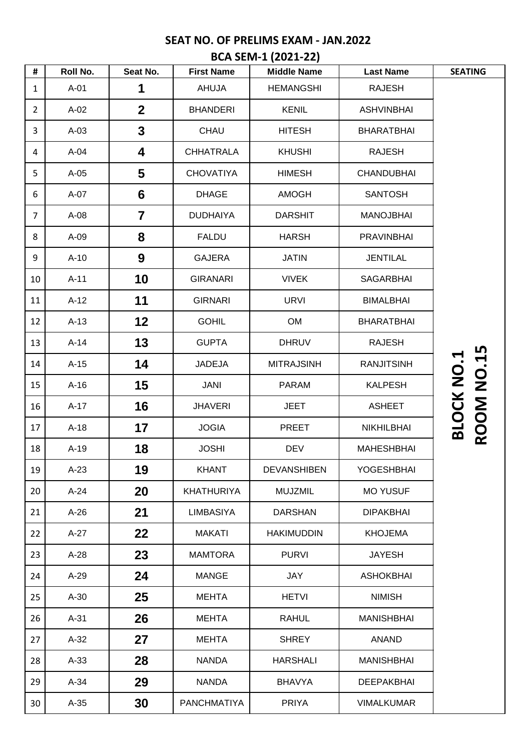# **SEAT NO. OF PRELIMS EXAM - JAN.2022 BCA SEM-1 (2021-22)**

| Roll No. | Seat No.       | <b>First Name</b>  | <b>Middle Name</b> | <b>Last Name</b>  | <b>SEATING</b>                         |
|----------|----------------|--------------------|--------------------|-------------------|----------------------------------------|
| $A-01$   | 1              | AHUJA              | <b>HEMANGSHI</b>   | <b>RAJESH</b>     |                                        |
| $A-02$   | $\mathbf{2}$   | <b>BHANDERI</b>    | <b>KENIL</b>       | <b>ASHVINBHAI</b> |                                        |
| $A-03$   | $\mathbf{3}$   | CHAU               | <b>HITESH</b>      | <b>BHARATBHAI</b> |                                        |
| $A-04$   | 4              | <b>CHHATRALA</b>   | <b>KHUSHI</b>      | <b>RAJESH</b>     |                                        |
| $A-05$   | $5\phantom{1}$ | <b>CHOVATIYA</b>   | <b>HIMESH</b>      | <b>CHANDUBHAI</b> |                                        |
| A-07     | $6\phantom{1}$ | <b>DHAGE</b>       | <b>AMOGH</b>       | <b>SANTOSH</b>    |                                        |
| $A-08$   | $\overline{7}$ | <b>DUDHAIYA</b>    | <b>DARSHIT</b>     | <b>MANOJBHAI</b>  |                                        |
| $A-09$   | 8              | <b>FALDU</b>       | <b>HARSH</b>       | <b>PRAVINBHAI</b> |                                        |
| $A-10$   | 9              | <b>GAJERA</b>      | <b>JATIN</b>       | <b>JENTILAL</b>   |                                        |
| $A-11$   | 10             | <b>GIRANARI</b>    | <b>VIVEK</b>       | <b>SAGARBHAI</b>  |                                        |
| $A-12$   | 11             | <b>GIRNARI</b>     | <b>URVI</b>        | <b>BIMALBHAI</b>  |                                        |
| $A-13$   | 12             | <b>GOHIL</b>       | OM                 | <b>BHARATBHAI</b> |                                        |
| $A-14$   | 13             | <b>GUPTA</b>       | <b>DHRUV</b>       | <b>RAJESH</b>     |                                        |
| $A-15$   | 14             | <b>JADEJA</b>      | <b>MITRAJSINH</b>  | <b>RANJITSINH</b> |                                        |
| $A-16$   | 15             | <b>JANI</b>        | <b>PARAM</b>       | <b>KALPESH</b>    |                                        |
| $A-17$   | 16             | <b>JHAVERI</b>     | <b>JEET</b>        | <b>ASHEET</b>     |                                        |
| $A-18$   | 17             | <b>JOGIA</b>       | <b>PREET</b>       | <b>NIKHILBHAI</b> | <b>ROOM NO.15</b><br><b>BLOCK NO.1</b> |
| $A-19$   | 18             | <b>JOSHI</b>       | <b>DEV</b>         | <b>MAHESHBHAI</b> |                                        |
| $A-23$   | 19             | <b>KHANT</b>       | <b>DEVANSHIBEN</b> | YOGESHBHAI        |                                        |
| $A-24$   | 20             | <b>KHATHURIYA</b>  | <b>MUJZMIL</b>     | <b>MO YUSUF</b>   |                                        |
| $A-26$   | 21             | <b>LIMBASIYA</b>   | <b>DARSHAN</b>     | <b>DIPAKBHAI</b>  |                                        |
| $A-27$   | 22             | <b>MAKATI</b>      | <b>HAKIMUDDIN</b>  | <b>KHOJEMA</b>    |                                        |
| $A-28$   | 23             | <b>MAMTORA</b>     | <b>PURVI</b>       | <b>JAYESH</b>     |                                        |
| $A-29$   | 24             | <b>MANGE</b>       | <b>JAY</b>         | <b>ASHOKBHAI</b>  |                                        |
| $A-30$   | 25             | <b>MEHTA</b>       | <b>HETVI</b>       | <b>NIMISH</b>     |                                        |
| $A-31$   | 26             | <b>MEHTA</b>       | <b>RAHUL</b>       | <b>MANISHBHAI</b> |                                        |
| $A-32$   | 27             | <b>MEHTA</b>       | <b>SHREY</b>       | <b>ANAND</b>      |                                        |
| $A-33$   | 28             | <b>NANDA</b>       | <b>HARSHALI</b>    | <b>MANISHBHAI</b> |                                        |
| $A-34$   | 29             | <b>NANDA</b>       | <b>BHAVYA</b>      | <b>DEEPAKBHAI</b> |                                        |
| $A-35$   | 30             | <b>PANCHMATIYA</b> | <b>PRIYA</b>       | <b>VIMALKUMAR</b> |                                        |
|          |                |                    |                    |                   |                                        |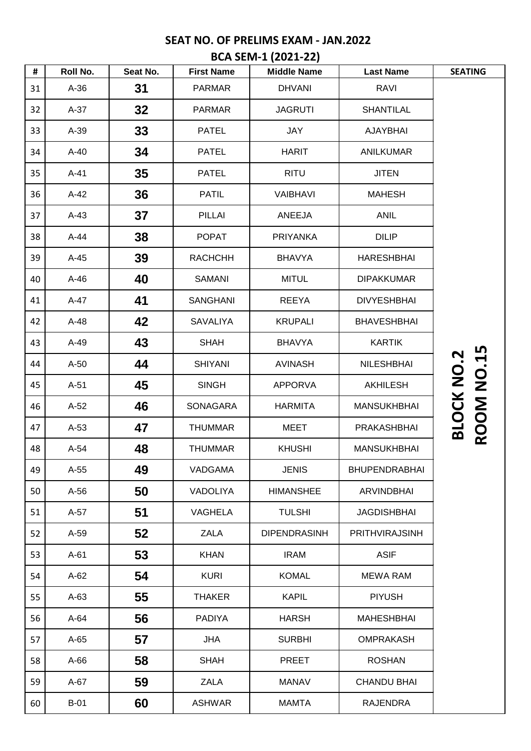# **SEAT NO. OF PRELIMS EXAM - JAN.2022**

| #  | Roll No. | Seat No. | <b>First Name</b> | <b>Middle Name</b>  | <b>Last Name</b>     | <b>SEATING</b>                         |
|----|----------|----------|-------------------|---------------------|----------------------|----------------------------------------|
| 31 | $A-36$   | 31       | <b>PARMAR</b>     | <b>DHVANI</b>       | <b>RAVI</b>          |                                        |
| 32 | $A-37$   | 32       | <b>PARMAR</b>     | <b>JAGRUTI</b>      | <b>SHANTILAL</b>     |                                        |
| 33 | $A-39$   | 33       | <b>PATEL</b>      | <b>JAY</b>          | <b>AJAYBHAI</b>      |                                        |
| 34 | $A-40$   | 34       | <b>PATEL</b>      | <b>HARIT</b>        | <b>ANILKUMAR</b>     |                                        |
| 35 | $A-41$   | 35       | <b>PATEL</b>      | <b>RITU</b>         | <b>JITEN</b>         |                                        |
| 36 | $A-42$   | 36       | <b>PATIL</b>      | <b>VAIBHAVI</b>     | <b>MAHESH</b>        |                                        |
| 37 | $A-43$   | 37       | <b>PILLAI</b>     | ANEEJA              | <b>ANIL</b>          |                                        |
| 38 | $A-44$   | 38       | <b>POPAT</b>      | <b>PRIYANKA</b>     | <b>DILIP</b>         |                                        |
| 39 | $A-45$   | 39       | <b>RACHCHH</b>    | <b>BHAVYA</b>       | <b>HARESHBHAI</b>    |                                        |
| 40 | $A-46$   | 40       | <b>SAMANI</b>     | <b>MITUL</b>        | <b>DIPAKKUMAR</b>    |                                        |
| 41 | $A-47$   | 41       | <b>SANGHANI</b>   | <b>REEYA</b>        | <b>DIVYESHBHAI</b>   |                                        |
| 42 | $A-48$   | 42       | SAVALIYA          | <b>KRUPALI</b>      | <b>BHAVESHBHAI</b>   |                                        |
| 43 | $A-49$   | 43       | <b>SHAH</b>       | <b>BHAVYA</b>       | <b>KARTIK</b>        |                                        |
| 44 | $A-50$   | 44       | <b>SHIYANI</b>    | <b>AVINASH</b>      | <b>NILESHBHAI</b>    |                                        |
| 45 | $A-51$   | 45       | <b>SINGH</b>      | <b>APPORVA</b>      | <b>AKHILESH</b>      |                                        |
| 46 | $A-52$   | 46       | SONAGARA          | <b>HARMITA</b>      | <b>MANSUKHBHAI</b>   | <b>ROOM NO.15</b><br><b>BLOCK NO.2</b> |
| 47 | $A-53$   | 47       | <b>THUMMAR</b>    | <b>MEET</b>         | PRAKASHBHAI          |                                        |
| 48 | $A-54$   | 48       | <b>THUMMAR</b>    | <b>KHUSHI</b>       | <b>MANSUKHBHAI</b>   |                                        |
| 49 | $A-55$   | 49       | VADGAMA           | <b>JENIS</b>        | <b>BHUPENDRABHAI</b> |                                        |
| 50 | $A-56$   | 50       | VADOLIYA          | <b>HIMANSHEE</b>    | <b>ARVINDBHAI</b>    |                                        |
| 51 | A-57     | 51       | VAGHELA           | <b>TULSHI</b>       | <b>JAGDISHBHAI</b>   |                                        |
| 52 | $A-59$   | 52       | <b>ZALA</b>       | <b>DIPENDRASINH</b> | PRITHVIRAJSINH       |                                        |
| 53 | $A-61$   | 53       | <b>KHAN</b>       | <b>IRAM</b>         | <b>ASIF</b>          |                                        |
| 54 | $A-62$   | 54       | <b>KURI</b>       | <b>KOMAL</b>        | <b>MEWA RAM</b>      |                                        |
| 55 | $A-63$   | 55       | <b>THAKER</b>     | <b>KAPIL</b>        | <b>PIYUSH</b>        |                                        |
| 56 | $A-64$   | 56       | <b>PADIYA</b>     | <b>HARSH</b>        | <b>MAHESHBHAI</b>    |                                        |
| 57 | $A-65$   | 57       | <b>JHA</b>        | <b>SURBHI</b>       | <b>OMPRAKASH</b>     |                                        |
| 58 | $A-66$   | 58       | <b>SHAH</b>       | <b>PREET</b>        | <b>ROSHAN</b>        |                                        |
| 59 | $A-67$   | 59       | <b>ZALA</b>       | <b>MANAV</b>        | <b>CHANDU BHAI</b>   |                                        |
| 60 | $B-01$   | 60       | <b>ASHWAR</b>     | <b>MAMTA</b>        | <b>RAJENDRA</b>      |                                        |

#### **BCA SEM-1 (2021-22)**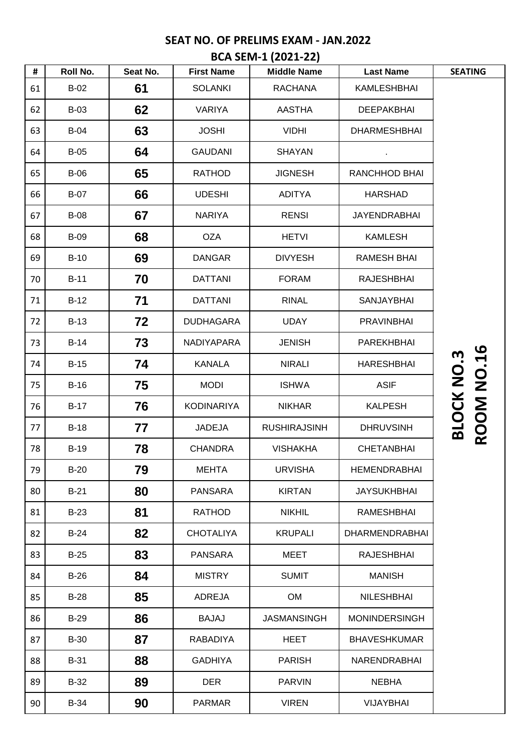## **SEAT NO. OF PRELIMS EXAM - JAN.2022**

|    | BCA SEM-1 (2021-22) |          |                   |                     |                       |                                        |  |  |  |
|----|---------------------|----------|-------------------|---------------------|-----------------------|----------------------------------------|--|--|--|
| #  | <b>Roll No.</b>     | Seat No. | <b>First Name</b> | <b>Middle Name</b>  | <b>Last Name</b>      | <b>SEATING</b>                         |  |  |  |
| 61 | $B-02$              | 61       | <b>SOLANKI</b>    | <b>RACHANA</b>      | KAMLESHBHAI           |                                        |  |  |  |
| 62 | $B-03$              | 62       | <b>VARIYA</b>     | <b>AASTHA</b>       | <b>DEEPAKBHAI</b>     |                                        |  |  |  |
| 63 | <b>B-04</b>         | 63       | <b>JOSHI</b>      | <b>VIDHI</b>        | <b>DHARMESHBHAI</b>   |                                        |  |  |  |
| 64 | $B-05$              | 64       | <b>GAUDANI</b>    | <b>SHAYAN</b>       |                       |                                        |  |  |  |
| 65 | <b>B-06</b>         | 65       | <b>RATHOD</b>     | <b>JIGNESH</b>      | RANCHHOD BHAI         |                                        |  |  |  |
| 66 | <b>B-07</b>         | 66       | <b>UDESHI</b>     | <b>ADITYA</b>       | <b>HARSHAD</b>        |                                        |  |  |  |
| 67 | <b>B-08</b>         | 67       | <b>NARIYA</b>     | <b>RENSI</b>        | <b>JAYENDRABHAI</b>   |                                        |  |  |  |
| 68 | <b>B-09</b>         | 68       | <b>OZA</b>        | <b>HETVI</b>        | <b>KAMLESH</b>        |                                        |  |  |  |
| 69 | $B-10$              | 69       | <b>DANGAR</b>     | <b>DIVYESH</b>      | <b>RAMESH BHAI</b>    |                                        |  |  |  |
| 70 | $B-11$              | 70       | <b>DATTANI</b>    | <b>FORAM</b>        | <b>RAJESHBHAI</b>     |                                        |  |  |  |
| 71 | $B-12$              | 71       | <b>DATTANI</b>    | <b>RINAL</b>        | SANJAYBHAI            |                                        |  |  |  |
| 72 | $B-13$              | 72       | <b>DUDHAGARA</b>  | <b>UDAY</b>         | <b>PRAVINBHAI</b>     |                                        |  |  |  |
| 73 | $B-14$              | 73       | NADIYAPARA        | <b>JENISH</b>       | PAREKHBHAI            |                                        |  |  |  |
| 74 | $B-15$              | 74       | <b>KANALA</b>     | <b>NIRALI</b>       | <b>HARESHBHAI</b>     |                                        |  |  |  |
| 75 | $B-16$              | 75       | <b>MODI</b>       | <b>ISHWA</b>        | <b>ASIF</b>           |                                        |  |  |  |
| 76 | $B-17$              | 76       | <b>KODINARIYA</b> | <b>NIKHAR</b>       | <b>KALPESH</b>        |                                        |  |  |  |
| 77 | $B-18$              | 77       | <b>JADEJA</b>     | <b>RUSHIRAJSINH</b> | <b>DHRUVSINH</b>      | <b>ROOM NO.16</b><br><b>BLOCK NO.3</b> |  |  |  |
| 78 | $B-19$              | 78       | <b>CHANDRA</b>    | <b>VISHAKHA</b>     | <b>CHETANBHAI</b>     |                                        |  |  |  |
| 79 | $B-20$              | 79       | <b>MEHTA</b>      | <b>URVISHA</b>      | <b>HEMENDRABHAI</b>   |                                        |  |  |  |
| 80 | $B-21$              | 80       | <b>PANSARA</b>    | <b>KIRTAN</b>       | <b>JAYSUKHBHAI</b>    |                                        |  |  |  |
| 81 | $B-23$              | 81       | <b>RATHOD</b>     | <b>NIKHIL</b>       | <b>RAMESHBHAI</b>     |                                        |  |  |  |
| 82 | $B-24$              | 82       | <b>CHOTALIYA</b>  | <b>KRUPALI</b>      | <b>DHARMENDRABHAI</b> |                                        |  |  |  |
| 83 | $B-25$              | 83       | <b>PANSARA</b>    | MEET                | <b>RAJESHBHAI</b>     |                                        |  |  |  |
| 84 | $B-26$              | 84       | <b>MISTRY</b>     | <b>SUMIT</b>        | <b>MANISH</b>         |                                        |  |  |  |
| 85 | $B-28$              | 85       | <b>ADREJA</b>     | <b>OM</b>           | <b>NILESHBHAI</b>     |                                        |  |  |  |
| 86 | $B-29$              | 86       | <b>BAJAJ</b>      | <b>JASMANSINGH</b>  | <b>MONINDERSINGH</b>  |                                        |  |  |  |
| 87 | <b>B-30</b>         | 87       | <b>RABADIYA</b>   | <b>HEET</b>         | <b>BHAVESHKUMAR</b>   |                                        |  |  |  |
| 88 | $B-31$              | 88       | <b>GADHIYA</b>    | <b>PARISH</b>       | NARENDRABHAI          |                                        |  |  |  |
| 89 | B-32                | 89       | <b>DER</b>        | <b>PARVIN</b>       | <b>NEBHA</b>          |                                        |  |  |  |
| 90 | <b>B-34</b>         | 90       | <b>PARMAR</b>     | <b>VIREN</b>        | VIJAYBHAI             |                                        |  |  |  |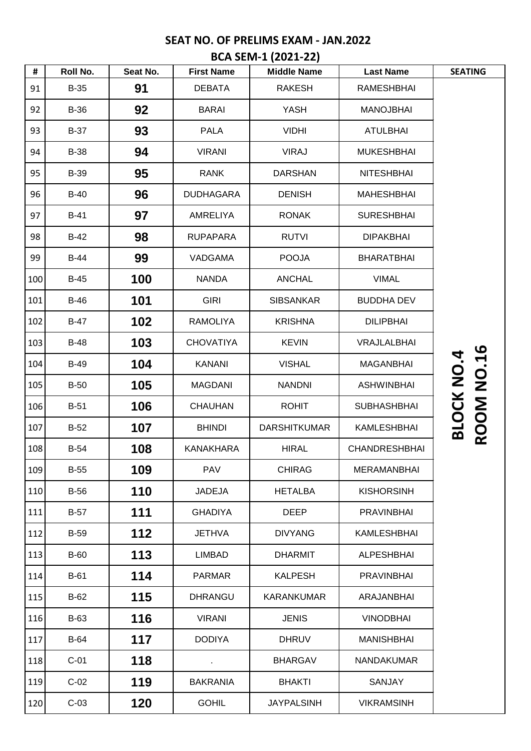# **SEAT NO. OF PRELIMS EXAM - JAN.2022 BCA SEM-1 (2021-22)**

| #   | Roll No.    | Seat No. | <b>First Name</b> | <b>Middle Name</b>  | <b>Last Name</b>     | <b>SEATING</b>                         |
|-----|-------------|----------|-------------------|---------------------|----------------------|----------------------------------------|
| 91  | <b>B-35</b> | 91       | <b>DEBATA</b>     | <b>RAKESH</b>       | <b>RAMESHBHAI</b>    |                                        |
| 92  | <b>B-36</b> | 92       | <b>BARAI</b>      | <b>YASH</b>         | <b>MANOJBHAI</b>     |                                        |
| 93  | <b>B-37</b> | 93       | <b>PALA</b>       | <b>VIDHI</b>        | <b>ATULBHAI</b>      |                                        |
| 94  | <b>B-38</b> | 94       | <b>VIRANI</b>     | <b>VIRAJ</b>        | <b>MUKESHBHAI</b>    |                                        |
| 95  | <b>B-39</b> | 95       | <b>RANK</b>       | <b>DARSHAN</b>      | <b>NITESHBHAI</b>    |                                        |
| 96  | $B-40$      | 96       | <b>DUDHAGARA</b>  | <b>DENISH</b>       | <b>MAHESHBHAI</b>    |                                        |
| 97  | $B-41$      | 97       | <b>AMRELIYA</b>   | <b>RONAK</b>        | <b>SURESHBHAI</b>    |                                        |
| 98  | $B-42$      | 98       | <b>RUPAPARA</b>   | <b>RUTVI</b>        | <b>DIPAKBHAI</b>     |                                        |
| 99  | $B-44$      | 99       | VADGAMA           | <b>POOJA</b>        | <b>BHARATBHAI</b>    |                                        |
| 100 | $B-45$      | 100      | <b>NANDA</b>      | <b>ANCHAL</b>       | <b>VIMAL</b>         |                                        |
| 101 | $B-46$      | 101      | <b>GIRI</b>       | <b>SIBSANKAR</b>    | <b>BUDDHA DEV</b>    |                                        |
| 102 | <b>B-47</b> | 102      | <b>RAMOLIYA</b>   | <b>KRISHNA</b>      | <b>DILIPBHAI</b>     |                                        |
| 103 | <b>B-48</b> | 103      | <b>CHOVATIYA</b>  | <b>KEVIN</b>        | VRAJLALBHAI          |                                        |
| 104 | <b>B-49</b> | 104      | <b>KANANI</b>     | <b>VISHAL</b>       | <b>MAGANBHAI</b>     |                                        |
| 105 | $B-50$      | 105      | <b>MAGDANI</b>    | <b>NANDNI</b>       | <b>ASHWINBHAI</b>    |                                        |
| 106 | $B-51$      | 106      | <b>CHAUHAN</b>    | <b>ROHIT</b>        | <b>SUBHASHBHAI</b>   |                                        |
| 107 | $B-52$      | 107      | <b>BHINDI</b>     | <b>DARSHITKUMAR</b> | <b>KAMLESHBHAI</b>   | <b>ROOM NO.16</b><br><b>BLOCK NO.4</b> |
| 108 | <b>B-54</b> | 108      | <b>KANAKHARA</b>  | <b>HIRAL</b>        | <b>CHANDRESHBHAI</b> |                                        |
| 109 | $B-55$      | 109      | <b>PAV</b>        | <b>CHIRAG</b>       | <b>MERAMANBHAI</b>   |                                        |
| 110 | <b>B-56</b> | 110      | <b>JADEJA</b>     | <b>HETALBA</b>      | <b>KISHORSINH</b>    |                                        |
| 111 | $B-57$      | 111      | <b>GHADIYA</b>    | <b>DEEP</b>         | <b>PRAVINBHAI</b>    |                                        |
| 112 | <b>B-59</b> | 112      | JETHVA            | <b>DIVYANG</b>      | <b>KAMLESHBHAI</b>   |                                        |
| 113 | <b>B-60</b> | 113      | <b>LIMBAD</b>     | <b>DHARMIT</b>      | <b>ALPESHBHAI</b>    |                                        |
| 114 | $B-61$      | 114      | <b>PARMAR</b>     | <b>KALPESH</b>      | <b>PRAVINBHAI</b>    |                                        |
| 115 | $B-62$      | 115      | <b>DHRANGU</b>    | <b>KARANKUMAR</b>   | ARAJANBHAI           |                                        |
| 116 | <b>B-63</b> | 116      | <b>VIRANI</b>     | <b>JENIS</b>        | <b>VINODBHAI</b>     |                                        |
| 117 | <b>B-64</b> | 117      | <b>DODIYA</b>     | <b>DHRUV</b>        | <b>MANISHBHAI</b>    |                                        |
| 118 | $C-01$      | 118      |                   | <b>BHARGAV</b>      | <b>NANDAKUMAR</b>    |                                        |
| 119 | $C-02$      | 119      | <b>BAKRANIA</b>   | <b>BHAKTI</b>       | <b>SANJAY</b>        |                                        |
| 120 | $C-03$      | 120      | <b>GOHIL</b>      | <b>JAYPALSINH</b>   | <b>VIKRAMSINH</b>    |                                        |